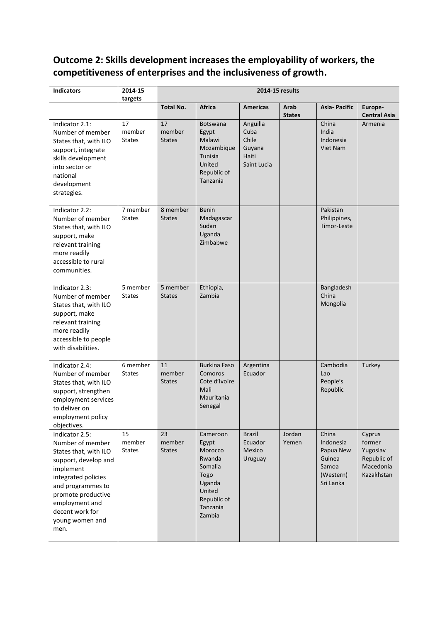# **Outcome 2: Skills development increases the employability of workers, the competitiveness of enterprises and the inclusiveness of growth.**

| <b>Indicators</b>                                                                                                                                                                                                                  | 2014-15<br>targets            | 2014-15 results               |                                                                                                                    |                                                             |                       |                                                                              |                                                                        |
|------------------------------------------------------------------------------------------------------------------------------------------------------------------------------------------------------------------------------------|-------------------------------|-------------------------------|--------------------------------------------------------------------------------------------------------------------|-------------------------------------------------------------|-----------------------|------------------------------------------------------------------------------|------------------------------------------------------------------------|
|                                                                                                                                                                                                                                    |                               | <b>Total No.</b>              | <b>Africa</b>                                                                                                      | <b>Americas</b>                                             | Arab<br><b>States</b> | <b>Asia-Pacific</b>                                                          | Europe-<br><b>Central Asia</b>                                         |
| Indicator 2.1:<br>Number of member<br>States that, with ILO<br>support, integrate<br>skills development<br>into sector or<br>national<br>development<br>strategies.                                                                | 17<br>member<br><b>States</b> | 17<br>member<br><b>States</b> | <b>Botswana</b><br>Egypt<br>Malawi<br>Mozambique<br>Tunisia<br>United<br>Republic of<br>Tanzania                   | Anguilla<br>Cuba<br>Chile<br>Guyana<br>Haiti<br>Saint Lucia |                       | China<br>India<br>Indonesia<br>Viet Nam                                      | Armenia                                                                |
| Indicator 2.2:<br>Number of member<br>States that, with ILO<br>support, make<br>relevant training<br>more readily<br>accessible to rural<br>communities.                                                                           | 7 member<br><b>States</b>     | 8 member<br><b>States</b>     | <b>Benin</b><br>Madagascar<br>Sudan<br>Uganda<br>Zimbabwe                                                          |                                                             |                       | Pakistan<br>Philippines,<br>Timor-Leste                                      |                                                                        |
| Indicator 2.3:<br>Number of member<br>States that, with ILO<br>support, make<br>relevant training<br>more readily<br>accessible to people<br>with disabilities.                                                                    | 5 member<br><b>States</b>     | 5 member<br><b>States</b>     | Ethiopia,<br>Zambia                                                                                                |                                                             |                       | Bangladesh<br>China<br>Mongolia                                              |                                                                        |
| Indicator 2.4:<br>Number of member<br>States that, with ILO<br>support, strengthen<br>employment services<br>to deliver on<br>employment policy<br>objectives.                                                                     | 6 member<br><b>States</b>     | 11<br>member<br><b>States</b> | <b>Burkina Faso</b><br>Comoros<br>Cote d'Ivoire<br>Mali<br>Mauritania<br>Senegal                                   | Argentina<br>Ecuador                                        |                       | Cambodia<br>Lao<br>People's<br>Republic                                      | Turkey                                                                 |
| Indicator 2.5:<br>Number of member<br>States that, with ILO<br>support, develop and<br>implement<br>integrated policies<br>and programmes to<br>promote productive<br>employment and<br>decent work for<br>young women and<br>men. | 15<br>member<br><b>States</b> | 23<br>member<br><b>States</b> | Cameroon<br>Egypt<br>Morocco<br>Rwanda<br>Somalia<br>Togo<br>Uganda<br>United<br>Republic of<br>Tanzania<br>Zambia | <b>Brazil</b><br>Ecuador<br>Mexico<br>Uruguay               | Jordan<br>Yemen       | China<br>Indonesia<br>Papua New<br>Guinea<br>Samoa<br>(Western)<br>Sri Lanka | Cyprus<br>former<br>Yugoslav<br>Republic of<br>Macedonia<br>Kazakhstan |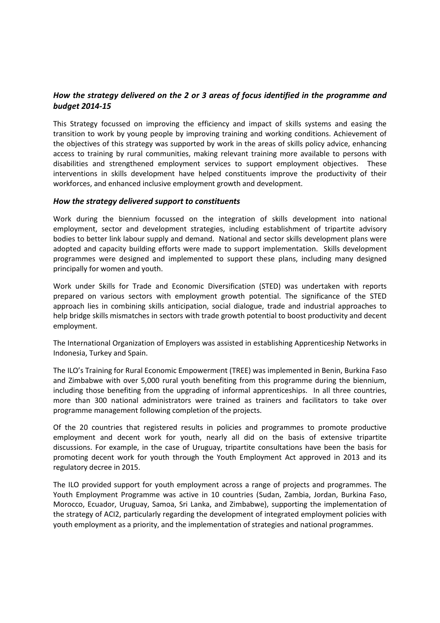# *How the strategy delivered on the 2 or 3 areas of focus identified in the programme and budget 2014-15*

This Strategy focussed on improving the efficiency and impact of skills systems and easing the transition to work by young people by improving training and working conditions. Achievement of the objectives of this strategy was supported by work in the areas of skills policy advice, enhancing access to training by rural communities, making relevant training more available to persons with disabilities and strengthened employment services to support employment objectives. These interventions in skills development have helped constituents improve the productivity of their workforces, and enhanced inclusive employment growth and development.

#### *How the strategy delivered support to constituents*

Work during the biennium focussed on the integration of skills development into national employment, sector and development strategies, including establishment of tripartite advisory bodies to better link labour supply and demand. National and sector skills development plans were adopted and capacity building efforts were made to support implementation. Skills development programmes were designed and implemented to support these plans, including many designed principally for women and youth.

Work under Skills for Trade and Economic Diversification (STED) was undertaken with reports prepared on various sectors with employment growth potential. The significance of the STED approach lies in combining skills anticipation, social dialogue, trade and industrial approaches to help bridge skills mismatches in sectors with trade growth potential to boost productivity and decent employment.

The International Organization of Employers was assisted in establishing Apprenticeship Networks in Indonesia, Turkey and Spain.

The ILO's Training for Rural Economic Empowerment (TREE) was implemented in Benin, Burkina Faso and Zimbabwe with over 5,000 rural youth benefiting from this programme during the biennium, including those benefiting from the upgrading of informal apprenticeships. In all three countries, more than 300 national administrators were trained as trainers and facilitators to take over programme management following completion of the projects.

Of the 20 countries that registered results in policies and programmes to promote productive employment and decent work for youth, nearly all did on the basis of extensive tripartite discussions. For example, in the case of Uruguay, tripartite consultations have been the basis for promoting decent work for youth through the Youth Employment Act approved in 2013 and its regulatory decree in 2015.

The ILO provided support for youth employment across a range of projects and programmes. The Youth Employment Programme was active in 10 countries (Sudan, Zambia, Jordan, Burkina Faso, Morocco, Ecuador, Uruguay, Samoa, Sri Lanka, and Zimbabwe), supporting the implementation of the strategy of ACI2, particularly regarding the development of integrated employment policies with youth employment as a priority, and the implementation of strategies and national programmes.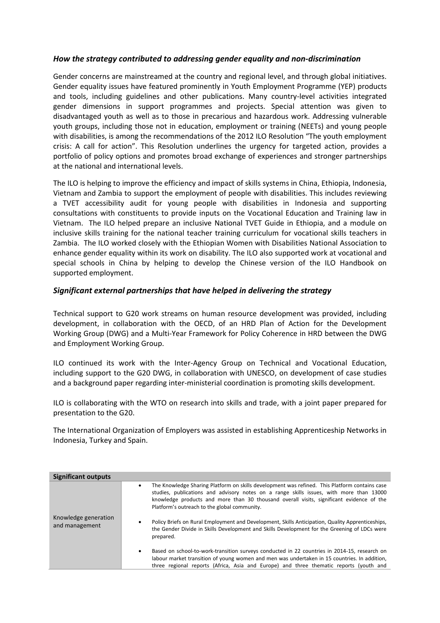## *How the strategy contributed to addressing gender equality and non-discrimination*

Gender concerns are mainstreamed at the country and regional level, and through global initiatives. Gender equality issues have featured prominently in Youth Employment Programme (YEP) products and tools, including guidelines and other publications. Many country-level activities integrated gender dimensions in support programmes and projects. Special attention was given to disadvantaged youth as well as to those in precarious and hazardous work. Addressing vulnerable youth groups, including those not in education, employment or training (NEETs) and young people with disabilities, is among the recommendations of the 2012 ILO Resolution "The youth employment crisis: A call for action". This Resolution underlines the urgency for targeted action, provides a portfolio of policy options and promotes broad exchange of experiences and stronger partnerships at the national and international levels.

The ILO is helping to improve the efficiency and impact of skills systems in China, Ethiopia, Indonesia, Vietnam and Zambia to support the employment of people with disabilities. This includes reviewing a TVET accessibility audit for young people with disabilities in Indonesia and supporting consultations with constituents to provide inputs on the Vocational Education and Training law in Vietnam. The ILO helped prepare an inclusive National TVET Guide in Ethiopia, and a module on inclusive skills training for the national teacher training curriculum for vocational skills teachers in Zambia. The ILO worked closely with the Ethiopian Women with Disabilities National Association to enhance gender equality within its work on disability. The ILO also supported work at vocational and special schools in China by helping to develop the Chinese version of the ILO Handbook on supported employment.

### *Significant external partnerships that have helped in delivering the strategy*

Technical support to G20 work streams on human resource development was provided, including development, in collaboration with the OECD, of an HRD Plan of Action for the Development Working Group (DWG) and a Multi-Year Framework for Policy Coherence in HRD between the DWG and Employment Working Group.

ILO continued its work with the Inter-Agency Group on Technical and Vocational Education, including support to the G20 DWG, in collaboration with UNESCO, on development of case studies and a background paper regarding inter-ministerial coordination is promoting skills development.

ILO is collaborating with the WTO on research into skills and trade, with a joint paper prepared for presentation to the G20.

The International Organization of Employers was assisted in establishing Apprenticeship Networks in Indonesia, Turkey and Spain.

| <b>Significant outputs</b>             |                                                                                                                                                                                                                                                                                                                                           |
|----------------------------------------|-------------------------------------------------------------------------------------------------------------------------------------------------------------------------------------------------------------------------------------------------------------------------------------------------------------------------------------------|
|                                        | The Knowledge Sharing Platform on skills development was refined. This Platform contains case<br>٠<br>studies, publications and advisory notes on a range skills issues, with more than 13000<br>knowledge products and more than 30 thousand overall visits, significant evidence of the<br>Platform's outreach to the global community. |
| Knowledge generation<br>and management | Policy Briefs on Rural Employment and Development, Skills Anticipation, Quality Apprenticeships,<br>٠<br>the Gender Divide in Skills Development and Skills Development for the Greening of LDCs were<br>prepared.                                                                                                                        |
|                                        | Based on school-to-work-transition surveys conducted in 22 countries in 2014-15, research on<br>$\bullet$<br>labour market transition of young women and men was undertaken in 15 countries. In addition,<br>three regional reports (Africa, Asia and Europe) and three thematic reports (youth and                                       |